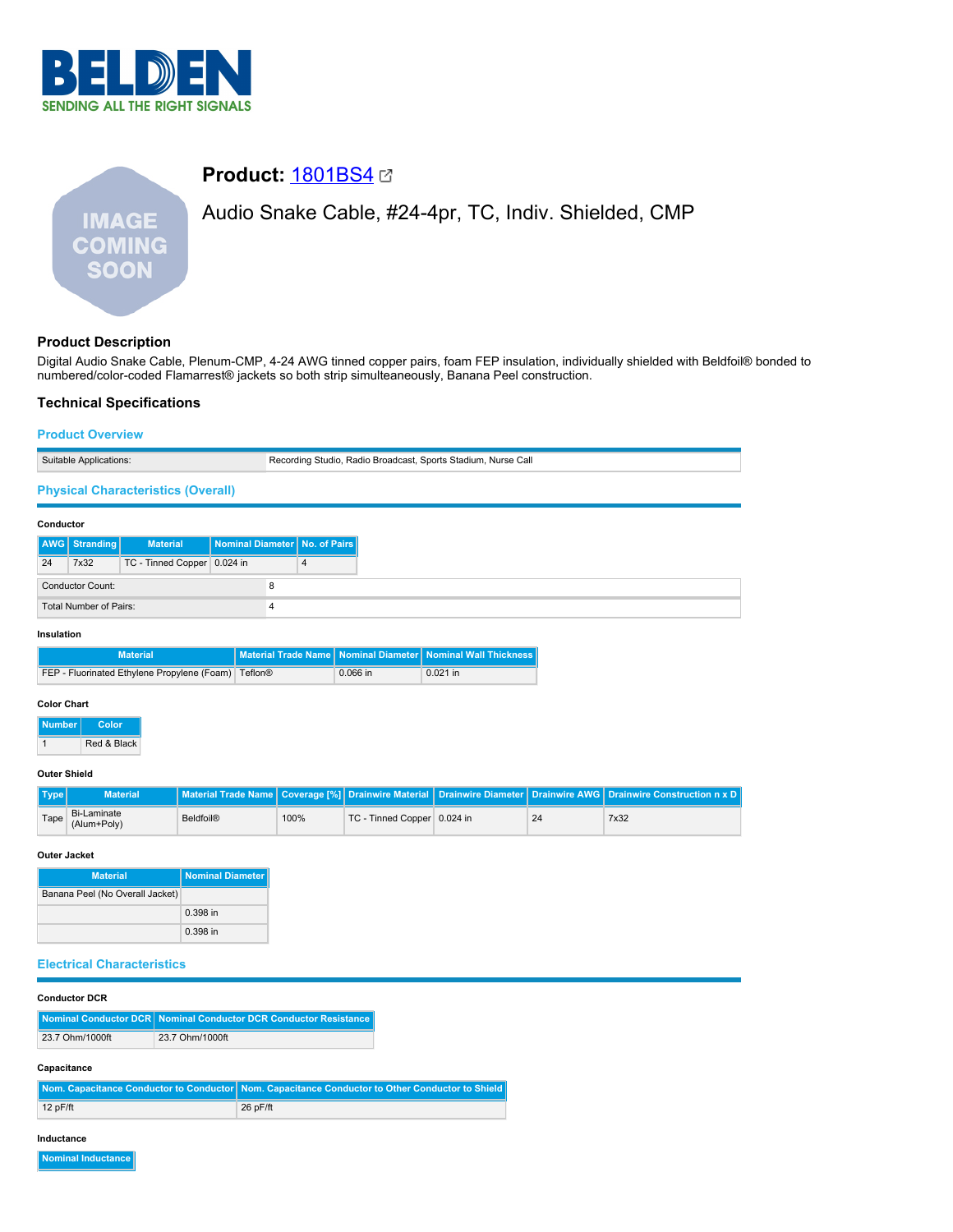

# **Product: [1801BS4](https://catalog.belden.com/index.cfm?event=pd&p=PF_1801BS4&tab=downloads) 2** Audio Snake Cable, #24-4pr, TC, Indiv. Shielded, CMP **IMAGE COMING SOON**

# **Product Description**

Digital Audio Snake Cable, Plenum-CMP, 4-24 AWG tinned copper pairs, foam FEP insulation, individually shielded with Beldfoil® bonded to numbered/color-coded Flamarrest® jackets so both strip simulteaneously, Banana Peel construction.

# **Technical Specifications**

| <b>Product Overview</b>                             |                 |                                           |                                 |                         |                                                               |  |  |
|-----------------------------------------------------|-----------------|-------------------------------------------|---------------------------------|-------------------------|---------------------------------------------------------------|--|--|
| Suitable Applications:                              |                 |                                           |                                 |                         | Recording Studio, Radio Broadcast, Sports Stadium, Nurse Call |  |  |
|                                                     |                 | <b>Physical Characteristics (Overall)</b> |                                 |                         |                                                               |  |  |
| Conductor                                           |                 |                                           |                                 |                         |                                                               |  |  |
|                                                     | AWG   Stranding | <b>Material</b>                           | Nominal Diameter   No. of Pairs |                         |                                                               |  |  |
| 24                                                  | 7x32            | TC - Tinned Copper 0.024 in               |                                 | 4                       |                                                               |  |  |
| <b>Conductor Count:</b><br>8                        |                 |                                           |                                 |                         |                                                               |  |  |
| <b>Total Number of Pairs:</b><br>4                  |                 |                                           |                                 |                         |                                                               |  |  |
| Insulation                                          |                 |                                           |                                 |                         |                                                               |  |  |
| <b>Material</b>                                     |                 |                                           | <b>Material Trade Name</b>      | <b>Nominal Diameter</b> | <b>Nominal Wall Thickness</b>                                 |  |  |
| FEP - Fluorinated Ethylene Propylene (Foam) Teflon® |                 |                                           |                                 | 0.066 in                | $0.021$ in                                                    |  |  |
| <b>Color Chart</b><br>Number L<br>Color             |                 |                                           |                                 |                         |                                                               |  |  |

1 Red & Black

### **Outer Shield**

| Type | <b>Material</b>            |                  |      |                             |    | Material Trade Name   Coverage [%]   Drainwire Material   Drainwire Diameter   Drainwire AWG   Drainwire Construction n x D |
|------|----------------------------|------------------|------|-----------------------------|----|-----------------------------------------------------------------------------------------------------------------------------|
| Tape | Bi-Laminate<br>(Alum+Poly) | <b>Beldfoil®</b> | 100% | TC - Tinned Copper 0.024 in | 24 | 7x32                                                                                                                        |

### **Outer Jacket**

| <b>Material</b>                 | <b>Nominal Diameter</b> |
|---------------------------------|-------------------------|
| Banana Peel (No Overall Jacket) |                         |
|                                 | $0.398$ in              |
|                                 | $0.398$ in              |

### **Electrical Characteristics**

# **Capacitance**

|            | Nom. Capacitance Conductor to Conductor Nom. Capacitance Conductor to Other Conductor to Shield |
|------------|-------------------------------------------------------------------------------------------------|
| $12p$ F/ft | 26 pF/ft                                                                                        |

#### **Inductance**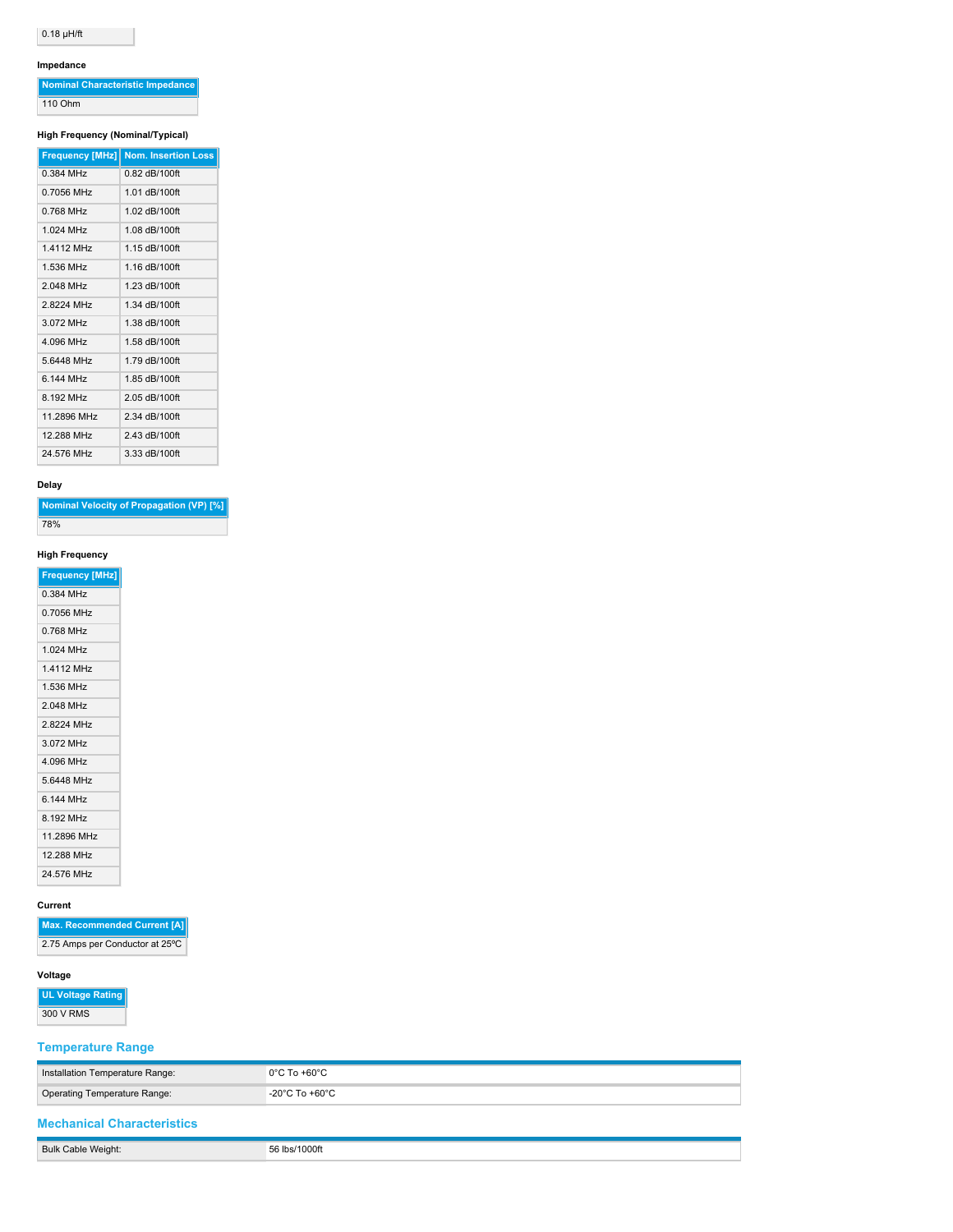# $0.18 \mu H/\text{ft}$

### **Impedance**

| Nominal Characteristic Impedance |
|----------------------------------|
| 110 Ohm                          |

### **High Frequency (Nominal/Typical)**

| <b>Frequency [MHz]</b> | <b>Nom. Insertion Loss</b> |
|------------------------|----------------------------|
| 0.384 MHz              | $0.82$ dB/100ft            |
| 0 7056 MHz             | 1 01 dB/100ft              |
| 0 768 MHz              | 1.02 dB/100ft              |
| 1 024 MHz              | 1.08 dB/100ft              |
| 1 4112 MHz             | 1 15 dB/100ft              |
| 1 536 MHz              | 1.16 dB/100ft              |
| 2 048 MHz              | 1 23 dB/100ft              |
| 28224 MHz              | 1.34 dB/100ft              |
| 3072 MHz               | 1.38 dB/100ft              |
| 4 096 MHz              | 1.58 dB/100ft              |
| 56448 MHz              | 1 79 dB/100ft              |
| 6 144 MHz              | 1.85 dB/100ft              |
| 8 192 MHz              | 2.05 dB/100ft              |
| 11.2896 MHz            | 2.34 dB/100ft              |
| 12.288 MHz             | 2.43 dB/100ft              |
| 24 576 MHz             | 3.33 dB/100ft              |

### **Delay**

| Nominal Velocity of Propagation (VP) [%] |
|------------------------------------------|
| 78%                                      |

## **High Frequency**

| <b>Frequency [MHz]</b> |  |
|------------------------|--|
| 0.384 MHz              |  |
| 0.7056 MHz             |  |
| 0.768 MHz              |  |
| 1.024 MHz              |  |
| 1.4112 MHz             |  |
| 1.536 MHz              |  |
| 2.048 MHz              |  |
| 2.8224 MHz             |  |
| 3.072 MHz              |  |
| 4.096 MHz              |  |
| 5.6448 MHz             |  |
| 6 144 MH <sub>7</sub>  |  |
| 8.192 MHz              |  |
| 11.2896 MHz            |  |
| 12.288 MHz             |  |
| 24.576 MHz             |  |
|                        |  |

### **Current**

**Max. Recommended Current [A]** 2.75 Amps per Conductor at 25°C

# **Voltage**

**UL Voltage Rating** 300 V RMS

## **Temperature Range**

| Installation Temperature Range:   | $0^{\circ}$ C To +60 $^{\circ}$ C |
|-----------------------------------|-----------------------------------|
| Operating Temperature Range:      | -20°C To +60°C                    |
| <b>Mechanical Characteristics</b> |                                   |
| Bulk Cable Weight:                | 56 lbs/1000ft                     |